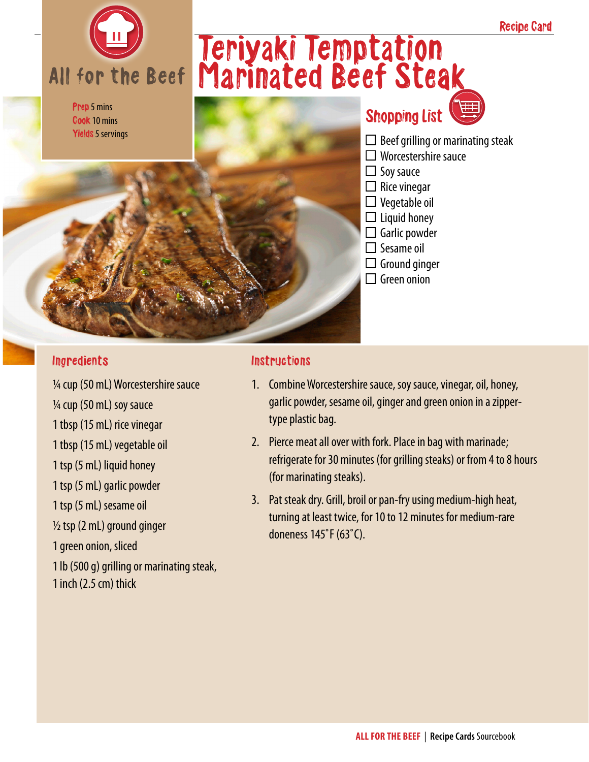

Prep 5 mins Cook 10 mins Yields 5 servings

## Teriyaki Temptation Marinated Beef Steak

### Shopping List



- $\Box$  Worcestershire sauce
- $\Box$  Soy sauce
- $\Box$  Rice vinegar
- $\Box$  Vegetable oil
- $\Box$  Liquid honey
- $\Box$  Garlic powder
- $\square$  Sesame oil
- $\Box$  Ground ginger
- $\Box$  Green onion

#### Ingredients

¼ cup (50 mL) Worcestershire sauce ¼ cup (50 mL) soy sauce 1 tbsp (15 mL) rice vinegar 1 tbsp (15 mL) vegetable oil 1 tsp (5 mL) liquid honey 1 tsp (5 mL) garlic powder 1 tsp (5 mL) sesame oil  $\frac{1}{2}$  tsp (2 mL) ground ginger 1 green onion, sliced 1 lb (500 g) grilling or marinating steak, 1 inch (2.5 cm) thick

#### **Instructions**

- 1. Combine Worcestershire sauce, soy sauce, vinegar, oil, honey, garlic powder, sesame oil, ginger and green onion in a zippertype plastic bag.
- 2. Pierce meat all over with fork. Place in bag with marinade; refrigerate for 30 minutes (for grilling steaks) or from 4 to 8 hours (for marinating steaks).
- 3. Pat steak dry. Grill, broil or pan-fry using medium-high heat, turning at least twice, for 10 to 12 minutes for medium-rare doneness 145˚F (63˚C).